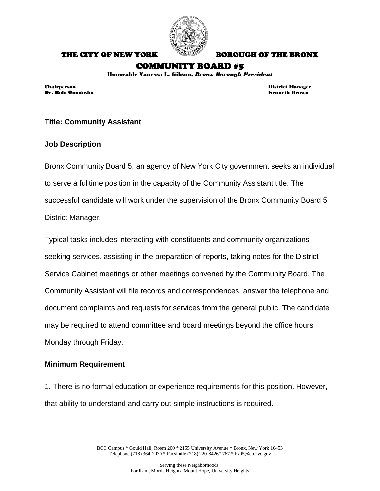

THE CITY OF NEW YORK BOROUGH OF THE BRONX

# COMMUNITY BOARD #5

Honorable Vanessa L. Gibson, *Bronx Borough President*

Dr. Bola Omotosho Kenneth Brown

Chairperson District Manager

## **Title: Community Assistant**

#### **Job Description**

Bronx Community Board 5, an agency of New York City government seeks an individual to serve a fulltime position in the capacity of the Community Assistant title. The successful candidate will work under the supervision of the Bronx Community Board 5 District Manager.

Typical tasks includes interacting with constituents and community organizations seeking services, assisting in the preparation of reports, taking notes for the District Service Cabinet meetings or other meetings convened by the Community Board. The Community Assistant will file records and correspondences, answer the telephone and document complaints and requests for services from the general public. The candidate may be required to attend committee and board meetings beyond the office hours Monday through Friday.

#### **Minimum Requirement**

1. There is no formal education or experience requirements for this position. However, that ability to understand and carry out simple instructions is required.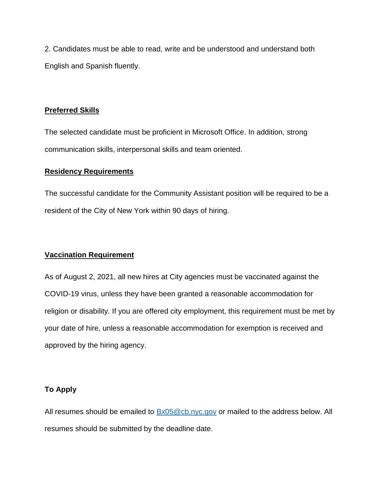2. Candidates must be able to read, write and be understood and understand both English and Spanish fluently.

#### **Preferred Skills**

The selected candidate must be proficient in Microsoft Office. In addition, strong communication skills, interpersonal skills and team oriented.

#### **Residency Requirements**

The successful candidate for the Community Assistant position will be required to be a resident of the City of New York within 90 days of hiring.

## **Vaccination Requirement**

As of August 2, 2021, all new hires at City agencies must be vaccinated against the COVID-19 virus, unless they have been granted a reasonable accommodation for religion or disability. If you are offered city employment, this requirement must be met by your date of hire, unless a reasonable accommodation for exemption is received and approved by the hiring agency.

## **To Apply**

All resumes should be emailed to  $Bx05@cb.nyc.gov$  or mailed to the address below. All resumes should be submitted by the deadline date.